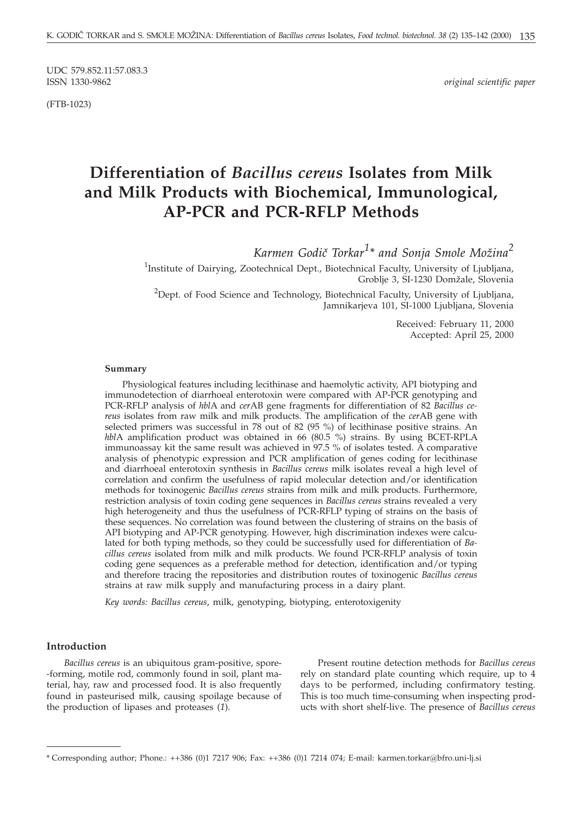UDC 579.852.11:57.083.3<br>ISSN 1330-9862

(FTB-1023)

 $original$  scientific paper

# **Differentiation of** *Bacillus cereus* **Isolates from Milk and Milk Products with Biochemical, Immunological, AP-PCR and PCR-RFLP Methods**

 $Karmen~Godič~Torkar<sup>1</sup>* and Sonja Smole Možina<sup>2</sup>$ 

<sup>1</sup>Institute of Dairying, Zootechnical Dept., Biotechnical Faculty, University of Ljubljana, Groblje 3, SI-1230 Domžale, Slovenia

 $^{2}$ Dept. of Food Science and Technology, Biotechnical Faculty, University of Ljubljana, Jamnikarjeva 101, SI-1000 Ljubljana, Slovenia

> Received: February 11, 2000 Accepted: April 25, 2000

#### **Summary**

Physiological features including lecithinase and haemolytic activity, API biotyping and immunodetection of diarrhoeal enterotoxin were compared with AP-PCR genotyping and PCR-RFLP analysis of *hbl*A and *cer*AB gene fragments for differentiation of 82 *Bacillus cereus* isolates from raw milk and milk products. The amplification of the *cer*AB gene with selected primers was successful in 78 out of 82 (95 %) of lecithinase positive strains. An *hbl*A amplification product was obtained in 66 (80.5 %) strains. By using BCET-RPLA immunoassay kit the same result was achieved in 97.5 % of isolates tested. A comparative analysis of phenotypic expression and PCR amplification of genes coding for lecithinase and diarrhoeal enterotoxin synthesis in *Bacillus cereus* milk isolates reveal a high level of correlation and confirm the usefulness of rapid molecular detection and/or identification methods for toxinogenic *Bacillus cereus* strains from milk and milk products. Furthermore, restriction analysis of toxin coding gene sequences in *Bacillus cereus* strains revealed a very high heterogeneity and thus the usefulness of PCR-RFLP typing of strains on the basis of these sequences. No correlation was found between the clustering of strains on the basis of API biotyping and AP-PCR genotyping. However, high discrimination indexes were calculated for both typing methods, so they could be successfully used for differentiation of *Bacillus cereus* isolated from milk and milk products. We found PCR-RFLP analysis of toxin coding gene sequences as a preferable method for detection, identification and/or typing and therefore tracing the repositories and distribution routes of toxinogenic *Bacillus cereus* strains at raw milk supply and manufacturing process in a dairy plant.

*Key words: Bacillus cereus*, milk, genotyping, biotyping, enterotoxigenity

#### **Introduction**

*Bacillus cereus* is an ubiquitous gram-positive, spore- -forming, motile rod, commonly found in soil, plant material, hay, raw and processed food. It is also frequently found in pasteurised milk, causing spoilage because of the production of lipases and proteases (*1*).

Present routine detection methods for *Bacillus cereus* rely on standard plate counting which require, up to 4 days to be performed, including confirmatory testing. This is too much time-consuming when inspecting products with short shelf-live. The presence of *Bacillus cereus*

<sup>\*</sup> Corresponding author; Phone.: ++386 (0)1 7217 906; Fax: ++386 (0)1 7214 074; E-mail: karmen.torkar*@*bfro.uni-lj.si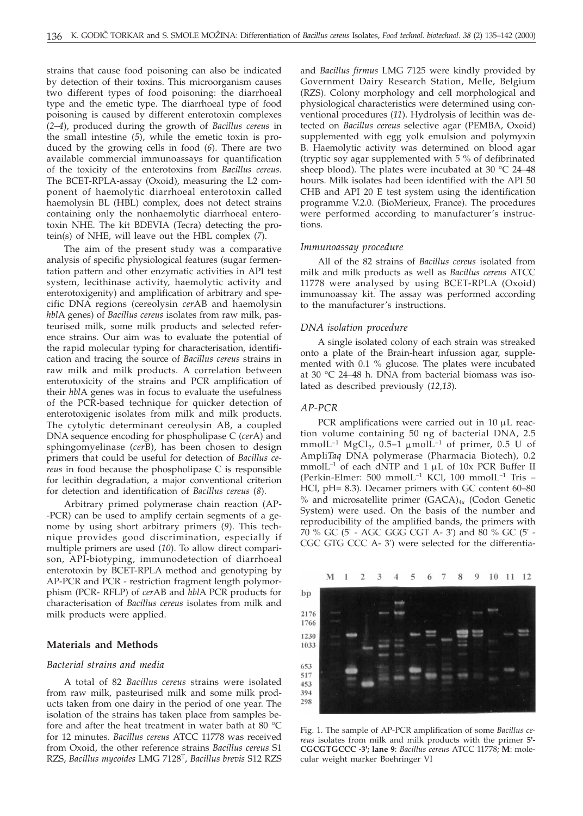strains that cause food poisoning can also be indicated by detection of their toxins. This microorganism causes two different types of food poisoning: the diarrhoeal type and the emetic type. The diarrhoeal type of food poisoning is caused by different enterotoxin complexes (*2–4*), produced during the growth of *Bacillus cereus* in the small intestine (*5*), while the emetic toxin is produced by the growing cells in food (*6*). There are two available commercial immunoassays for quantification of the toxicity of the enterotoxins from *Bacillus cereus*. The BCET-RPLA-assay (Oxoid), measuring the L2 component of haemolytic diarrhoeal enterotoxin called haemolysin BL (HBL) complex, does not detect strains containing only the nonhaemolytic diarrhoeal enterotoxin NHE. The kit BDEVIA (Tecra) detecting the protein(s) of NHE, will leave out the HBL complex (*7*).

The aim of the present study was a comparative analysis of specific physiological features (sugar fermentation pattern and other enzymatic activities in API test system, lecithinase activity, haemolytic activity and enterotoxigenity) and amplification of arbitrary and specific DNA regions (cereolysin *cer*AB and haemolysin *hbl*A genes) of *Bacillus cereus* isolates from raw milk, pasteurised milk, some milk products and selected reference strains. Our aim was to evaluate the potential of the rapid molecular typing for characterisation, identification and tracing the source of *Bacillus cereus* strains in raw milk and milk products. A correlation between enterotoxicity of the strains and PCR amplification of their *hbl*A genes was in focus to evaluate the usefulness of the PCR-based technique for quicker detection of enterotoxigenic isolates from milk and milk products. The cytolytic determinant cereolysin AB, a coupled DNA sequence encoding for phospholipase C (*cer*A) and sphingomyelinase (*cer*B), has been chosen to design primers that could be useful for detection of *Bacillus cereus* in food because the phospholipase C is responsible for lecithin degradation, a major conventional criterion for detection and identification of *Bacillus cereus* (*8*).

Arbitrary primed polymerase chain reaction (AP- -PCR) can be used to amplify certain segments of a genome by using short arbitrary primers (*9*). This technique provides good discrimination, especially if multiple primers are used (*10*). To allow direct comparison, API-biotyping, immunodetection of diarrhoeal enterotoxin by BCET-RPLA method and genotyping by AP-PCR and PCR - restriction fragment length polymorphism (PCR- RFLP) of *cer*AB and *hbl*A PCR products for characterisation of *Bacillus cereus* isolates from milk and milk products were applied.

#### **Materials and Methods**

#### *Bacterial strains and media*

A total of 82 *Bacillus cereus* strains were isolated from raw milk, pasteurised milk and some milk products taken from one dairy in the period of one year. The isolation of the strains has taken place from samples before and after the heat treatment in water bath at 80 °C for 12 minutes. *Bacillus cereus* ATCC 11778 was received from Oxoid, the other reference strains *Bacillus cereus* S1 RZS, *Bacillus mycoides* LMG 7128T, *Bacillus brevis* S12 RZS and *Bacillus firmus* LMG 7125 were kindly provided by Government Dairy Research Station, Melle, Belgium (RZS). Colony morphology and cell morphological and physiological characteristics were determined using conventional procedures (*11*). Hydrolysis of lecithin was detected on *Bacillus cereus* selective agar (PEMBA, Oxoid) supplemented with egg yolk emulsion and polymyxin B. Haemolytic activity was determined on blood agar (tryptic soy agar supplemented with 5 % of defibrinated sheep blood). The plates were incubated at 30  $^{\circ}$ C 24–48 hours. Milk isolates had been identified with the API 50 CHB and API 20 E test system using the identification programme V.2.0. (BioMerieux, France). The procedures were performed according to manufacturer's instructions.

#### *Immunoassay procedure*

All of the 82 strains of *Bacillus cereus* isolated from milk and milk products as well as *Bacillus cereus* ATCC 11778 were analysed by using BCET-RPLA (Oxoid) immunoassay kit. The assay was performed according to the manufacturer's instructions.

#### *DNA isolation procedure*

A single isolated colony of each strain was streaked onto a plate of the Brain-heart infussion agar, supplemented with 0.1 % glucose. The plates were incubated at 30 °C 24–48 h. DNA from bacterial biomass was isolated as described previously (*12,13*).

#### *AP-PCR*

PCR amplifications were carried out in  $10 \mu L$  reaction volume containing 50 ng of bacterial DNA, 2.5 mmolL<sup>-1</sup> MgCl<sub>2</sub>, 0.5–1 µmolL<sup>-1</sup> of primer, 0.5 U of Ampli*Taq* DNA polymerase (Pharmacia Biotech), 0.2 mmolL<sup>-1</sup> of each dNTP and 1  $\mu$ L of 10x PCR Buffer II (Perkin-Elmer: 500 mmolL–1 KCl, 100 mmolL–1 Tris – HCl, pH= 8.3). Decamer primers with GC content 60–80  $%$  and microsatellite primer (GACA)<sub>4x</sub> (Codon Genetic System) were used. On the basis of the number and reproducibility of the amplified bands, the primers with 70 % GC (5' - AGC GGG CGT A- 3') and 80 % GC (5' - CGC GTG CCC A- 3') were selected for the differentia-

#### M  $\mathbf{1}$  $\mathcal{D}$ 3  $\mathbf{A}$ 5 6  $7^{\circ}$ 8  $\overline{9}$ 10 11 12



Fig. 1. The sample of AP-PCR amplification of some *Bacillus cereus* isolates from milk and milk products with the primer **5'- CGCGTGCCC -3'; lane 9**: *Bacillus cereus* ATCC 11778; **M**: molecular weight marker Boehringer VI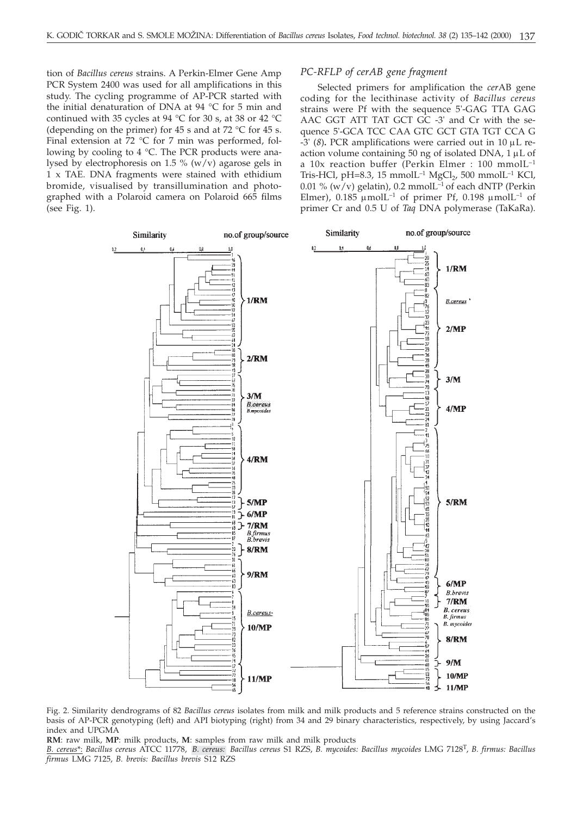tion of *Bacillus cereus* strains. A Perkin-Elmer Gene Amp PCR System 2400 was used for all amplifications in this study. The cycling programme of AP-PCR started with the initial denaturation of DNA at 94 °C for 5 min and continued with 35 cycles at 94 °C for 30 s, at 38 or 42 °C (depending on the primer) for 45 s and at 72  $\degree$ C for 45 s. Final extension at 72 °C for 7 min was performed, following by cooling to 4 °C. The PCR products were analysed by electrophoresis on 1.5 %  $(w/v)$  agarose gels in 1 x TAE. DNA fragments were stained with ethidium bromide, visualised by transillumination and photographed with a Polaroid camera on Polaroid 665 films (see Fig. 1).

#### *PC-RFLP of cerAB gene fragment*

Selected primers for amplification the *cer*AB gene coding for the lecithinase activity of *Bacillus cereus* strains were Pf with the sequence 5'-GAG TTA GAG AAC GGT ATT TAT GCT GC -3' and Cr with the sequence 5'-GCA TCC CAA GTC GCT GTA TGT CCA G  $-3'$  (8). PCR amplifications were carried out in 10  $\mu$ L reaction volume containing 50 ng of isolated DNA,  $1 \mu L$  of a 10x reaction buffer (Perkin Elmer : 100 mmolL–1 Tris-HCl, pH=8.3, 15 mmolL<sup>-1</sup> MgCl<sub>2</sub>, 500 mmolL<sup>-1</sup> KCl, 0.01 % (w/v) gelatin), 0.2 mmol $L^{-1}$  of each dNTP (Perkin Elmer),  $0.185 \mu$ molL<sup>-1</sup> of primer Pf,  $0.198 \mu$ molL<sup>-1</sup> of primer Cr and 0.5 U of *Taq* DNA polymerase (TaKaRa).



Fig. 2. Similarity dendrograms of 82 *Bacillus cereus* isolates from milk and milk products and 5 reference strains constructed on the basis of AP-PCR genotyping (left) and API biotyping (right) from 34 and 29 binary characteristics, respectively, by using Jaccard's index and UPGMA

**RM**: raw milk, **MP**: milk products, **M**: samples from raw milk and milk products

*B. cereus*\*: *Bacillus cereus* ATCC 11778, *B. cereus: Bacillus cereus* S1 RZS, *B. mycoides: Bacillus mycoides* LMG 7128T, *B. firmus: Bacillus firmus* LMG 7125, *B. brevis: Bacillus brevis* S12 RZS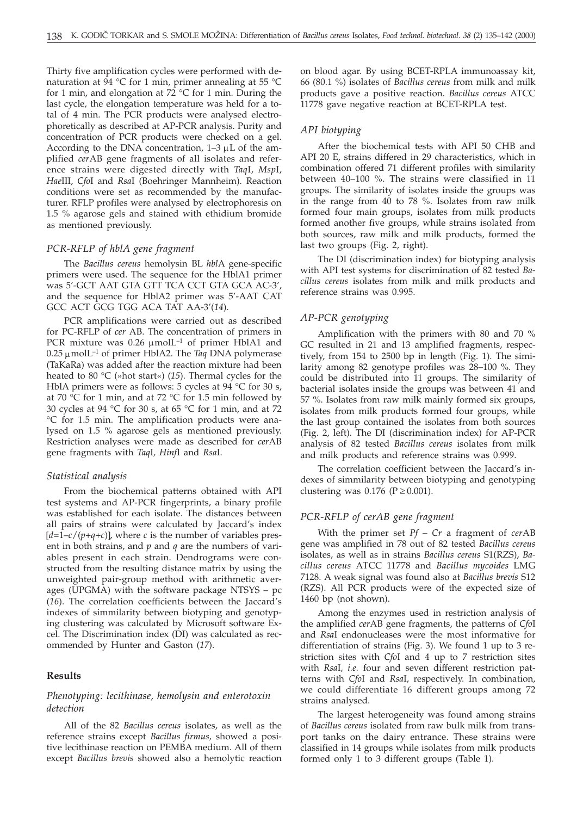Thirty five amplification cycles were performed with denaturation at 94 °C for 1 min, primer annealing at 55 °C for 1 min, and elongation at  $72^{\circ}$ C for 1 min. During the last cycle, the elongation temperature was held for a total of 4 min. The PCR products were analysed electrophoretically as described at AP-PCR analysis. Purity and concentration of PCR products were checked on a gel. According to the DNA concentration,  $1-3 \mu L$  of the amplified *cer*AB gene fragments of all isolates and reference strains were digested directly with *Taq*I, *Msp*I, *Hae*III, *Cfo*I and *Rsa*I (Boehringer Mannheim). Reaction conditions were set as recommended by the manufacturer. RFLP profiles were analysed by electrophoresis on 1.5 % agarose gels and stained with ethidium bromide as mentioned previously.

#### *PCR-RFLP of hblA gene fragment*

The *Bacillus cereus* hemolysin BL *hbl*A gene-specific primers were used. The sequence for the HblA1 primer was 5'-GCT AAT GTA GTT TCA CCT GTA GCA AC-3', and the sequence for HblA2 primer was 5'-AAT CAT GCC ACT GCG TGG ACA TAT AA-3'(*14*).

PCR amplifications were carried out as described for PC-RFLP of *cer* AB. The concentration of primers in PCR mixture was  $0.26 \mu$ molL<sup>-1</sup> of primer HblA1 and  $0.25 \mu$ molL<sup>-1</sup> of primer HblA2. The *Taq* DNA polymerase (TaKaRa) was added after the reaction mixture had been heated to 80 °C (»hot start«) (*15*). Thermal cycles for the HblA primers were as follows: 5 cycles at 94 °C for 30 s, at 70  $\degree$ C for 1 min, and at 72  $\degree$ C for 1.5 min followed by 30 cycles at 94 °C for 30 s, at 65 °C for 1 min, and at 72 °C for 1.5 min. The amplification products were analysed on 1.5 % agarose gels as mentioned previously. Restriction analyses were made as described for *cer*AB gene fragments with *Taq*I*, Hinf*I and *Rsa*I.

#### *Statistical analysis*

From the biochemical patterns obtained with API test systems and AP-PCR fingerprints, a binary profile was established for each isolate. The distances between all pairs of strains were calculated by Jaccard's index  $[d=1-c/(p+q+c)]$ , where *c* is the number of variables present in both strains, and *p* and *q* are the numbers of variables present in each strain. Dendrograms were constructed from the resulting distance matrix by using the unweighted pair-group method with arithmetic averages (UPGMA) with the software package NTSYS – pc (*16*). The correlation coefficients between the Jaccard's indexes of simmilarity between biotyping and genotyping clustering was calculated by Microsoft software Excel. The Discrimination index (DI) was calculated as recommended by Hunter and Gaston (*17*).

#### **Results**

#### *Phenotyping: lecithinase, hemolysin and enterotoxin detection*

All of the 82 *Bacillus cereus* isolates, as well as the reference strains except *Bacillus firmus,* showed a positive lecithinase reaction on PEMBA medium. All of them except *Bacillus brevis* showed also a hemolytic reaction on blood agar. By using BCET-RPLA immunoassay kit, 66 (80.1 %) isolates of *Bacillus cereus* from milk and milk products gave a positive reaction. *Bacillus cereus* ATCC 11778 gave negative reaction at BCET-RPLA test.

#### *API biotyping*

After the biochemical tests with API 50 CHB and API 20 E, strains differed in 29 characteristics, which in combination offered 71 different profiles with similarity between 40–100 %. The strains were classified in 11 groups. The similarity of isolates inside the groups was in the range from 40 to 78 %. Isolates from raw milk formed four main groups, isolates from milk products formed another five groups, while strains isolated from both sources, raw milk and milk products, formed the last two groups (Fig. 2, right).

The DI (discrimination index) for biotyping analysis with API test systems for discrimination of 82 tested *Bacillus cereus* isolates from milk and milk products and reference strains was 0.995.

#### *AP-PCR genotyping*

Amplification with the primers with 80 and 70 % GC resulted in 21 and 13 amplified fragments, respectively, from 154 to 2500 bp in length (Fig. 1). The similarity among 82 genotype profiles was 28–100 %. They could be distributed into 11 groups. The similarity of bacterial isolates inside the groups was between 41 and 57 %. Isolates from raw milk mainly formed six groups, isolates from milk products formed four groups, while the last group contained the isolates from both sources (Fig. 2, left). The DI (discrimination index) for AP-PCR analysis of 82 tested *Bacillus cereus* isolates from milk and milk products and reference strains was 0.999.

The correlation coefficient between the Jaccard's indexes of simmilarity between biotyping and genotyping clustering was 0.176 ( $P \ge 0.001$ ).

### *PCR-RFLP of cerAB gene fragment*

With the primer set *Pf – Cr* a fragment of *cer*AB gene was amplified in 78 out of 82 tested *Bacillus cereus* isolates, as well as in strains *Bacillus cereus* S1(RZS), *Bacillus cereus* ATCC 11778 and *Bacillus mycoides* LMG 7128. A weak signal was found also at *Bacillus brevis* S12 (RZS). All PCR products were of the expected size of 1460 bp (not shown).

Among the enzymes used in restriction analysis of the amplified *cer*AB gene fragments, the patterns of *Cfo*I and *Rsa*I endonucleases were the most informative for differentiation of strains (Fig. 3). We found 1 up to 3 restriction sites with *Cfo*I and 4 up to 7 restriction sites with *Rsa*I*, i.e.* four and seven different restriction patterns with *Cfo*I and *Rsa*I, respectively. In combination, we could differentiate 16 different groups among 72 strains analysed.

The largest heterogeneity was found among strains of *Bacillus cereus* isolated from raw bulk milk from transport tanks on the dairy entrance. These strains were classified in 14 groups while isolates from milk products formed only 1 to 3 different groups (Table 1).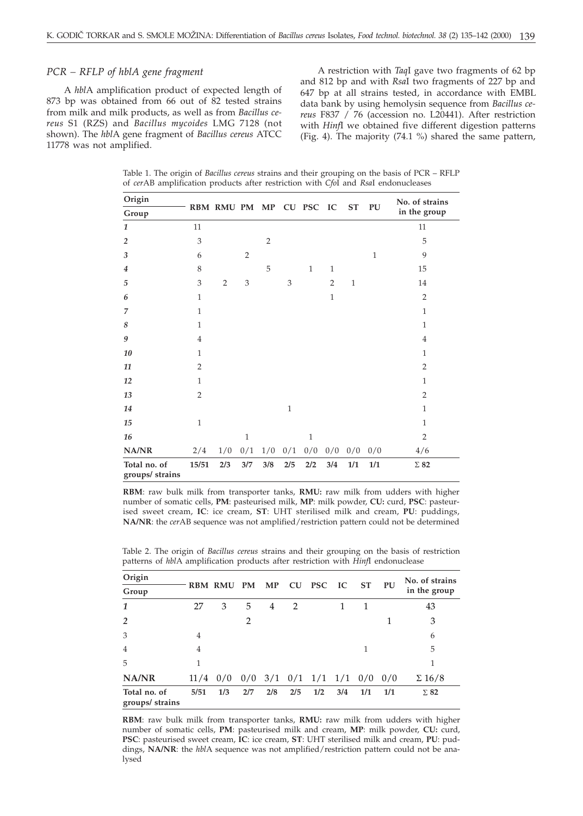#### *PCR – RFLP of hblA gene fragment*

A *hbl*A amplification product of expected length of 873 bp was obtained from 66 out of 82 tested strains from milk and milk products, as well as from *Bacillus cereus* S1 (RZS) and *Bacillus mycoides* LMG 7128 (not shown). The *hbl*A gene fragment of *Bacillus cereus* ATCC 11778 was not amplified.

A restriction with *Taq*I gave two fragments of 62 bp and 812 bp and with *Rsa*I two fragments of 227 bp and 647 bp at all strains tested, in accordance with EMBL data bank by using hemolysin sequence from *Bacillus cereus* F837 / 76 (accession no. L20441). After restriction with *Hinf*I we obtained five different digestion patterns (Fig. 4). The majority (74.1 %) shared the same pattern,

Table 1. The origin of *Bacillus cereus* strains and their grouping on the basis of PCR – RFLP of *cer*AB amplification products after restriction with *Cfo*I and *Rsa*I endonucleases

| Origin                          |                |                         |                |                |              |              |                |           |              | No. of strains |
|---------------------------------|----------------|-------------------------|----------------|----------------|--------------|--------------|----------------|-----------|--------------|----------------|
| Group                           |                | RBM RMU PM MP CU PSC IC |                |                |              |              |                | <b>ST</b> | PU           | in the group   |
| 1                               | 11             |                         |                |                |              |              |                |           |              | 11             |
| $\overline{2}$                  | 3              |                         |                | $\overline{2}$ |              |              |                |           |              | 5              |
| 3                               | 6              |                         | $\overline{2}$ |                |              |              |                |           | $\mathbf{1}$ | 9              |
| $\overline{4}$                  | 8              |                         |                | 5              |              | $\mathbf{1}$ | $\mathbf{1}$   |           |              | 15             |
| 5                               | 3              | $\overline{2}$          | 3              |                | 3            |              | $\overline{2}$ | $1\,$     |              | 14             |
| 6                               | $\mathbf{1}$   |                         |                |                |              |              | $\mathbf{1}$   |           |              | $\overline{2}$ |
| $\overline{7}$                  | $\mathbf{1}$   |                         |                |                |              |              |                |           |              | $\mathbf{1}$   |
| 8                               | $\mathbf{1}$   |                         |                |                |              |              |                |           |              | $\mathbf{1}$   |
| $\boldsymbol{9}$                | $\overline{4}$ |                         |                |                |              |              |                |           |              | $\overline{4}$ |
| 10                              | $\mathbf{1}$   |                         |                |                |              |              |                |           |              | $\mathbf{1}$   |
| 11                              | $\overline{2}$ |                         |                |                |              |              |                |           |              | $\overline{2}$ |
| 12                              | $\mathbf{1}$   |                         |                |                |              |              |                |           |              | $\mathbf{1}$   |
| 13                              | $\overline{2}$ |                         |                |                |              |              |                |           |              | $\overline{2}$ |
| 14                              |                |                         |                |                | $\mathbf{1}$ |              |                |           |              | $\mathbf{1}$   |
| 15                              | $\mathbf{1}$   |                         |                |                |              |              |                |           |              | $\mathbf{1}$   |
| 16                              |                |                         | $\mathbf{1}$   |                |              | $\mathbf{1}$ |                |           |              | $\overline{2}$ |
| NA/NR                           | 2/4            | 1/0                     | 0/1            | 1/0            | 0/1          | 0/0          | 0/0            | 0/0       | 0/0          | 4/6            |
| Total no. of<br>groups/ strains | 15/51          | 2/3                     | 3/7            | 3/8            | 2/5          | 2/2          | 3/4            | 1/1       | 1/1          | $\Sigma$ 82    |

**RBM**: raw bulk milk from transporter tanks, **RMU:** raw milk from udders with higher number of somatic cells, **PM**: pasteurised milk, **MP**: milk powder, **CU:** curd, **PSC**: pasteurised sweet cream, **IC**: ice cream, **ST**: UHT sterilised milk and cream, **PU**: puddings, **NA/NR**: the *cer*AB sequence was not amplified/restriction pattern could not be determined

Table 2. The origin of *Bacillus cereus* strains and their grouping on the basis of restriction patterns of *hbl*A amplification products after restriction with *Hinf*I endonuclease

| Origin                          |                |                |           |     |                |                               |     |           |     | No. of strains |
|---------------------------------|----------------|----------------|-----------|-----|----------------|-------------------------------|-----|-----------|-----|----------------|
| Group                           |                | <b>RBM RMU</b> | <b>PM</b> | MP  |                | CU PSC IC                     |     | <b>ST</b> | PU  | in the group   |
| $\mathbf{1}$                    | 27             | 3              | 5         | 4   | $\overline{2}$ |                               |     | 1         |     | 43             |
| $\overline{2}$                  |                |                | 2         |     |                |                               |     |           |     | 3              |
| 3                               | $\overline{4}$ |                |           |     |                |                               |     |           |     | 6              |
| $\overline{4}$                  | $\overline{4}$ |                |           |     |                |                               |     | 1         |     | 5              |
| 5                               | 1              |                |           |     |                |                               |     |           |     |                |
| NA/NR                           |                | $11/4$ 0/0     |           |     |                | $0/0$ 3/1 $0/1$ 1/1 1/1 $0/0$ |     |           | 0/0 | $\Sigma$ 16/8  |
| Total no. of<br>groups/ strains | 5/51           | 1/3            | 2/7       | 2/8 | 2/5            | 1/2                           | 3/4 | 1/1       | 1/1 | $\Sigma$ 82    |

**RBM**: raw bulk milk from transporter tanks, **RMU:** raw milk from udders with higher number of somatic cells, **PM**: pasteurised milk and cream, **MP**: milk powder, **CU:** curd, **PSC**: pasteurised sweet cream, **IC**: ice cream, **ST**: UHT sterilised milk and cream, **PU**: puddings, **NA/NR**: the *hbl*A sequence was not amplified/restriction pattern could not be analysed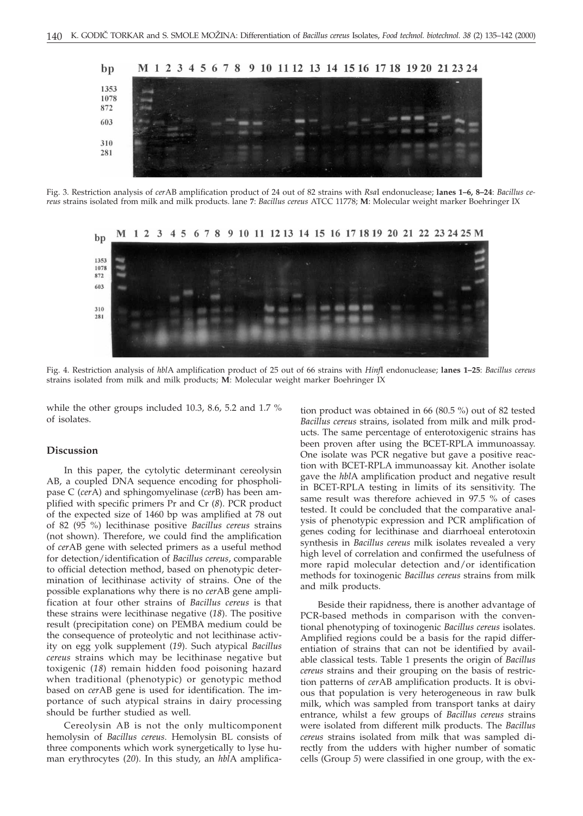

Fig. 3. Restriction analysis of *cer*AB amplification product of 24 out of 82 strains with *Rsa*I endonuclease; **lanes 1–6, 8–24**: *Bacillus cereus* strains isolated from milk and milk products. lane **7**: *Bacillus cereus* ATCC 11778; **M**: Molecular weight marker Boehringer IX



Fig. 4. Restriction analysis of *hbl*A amplification product of 25 out of 66 strains with *Hinf*I endonuclease; **lanes 1–25**: *Bacillus cereus* strains isolated from milk and milk products; **M**: Molecular weight marker Boehringer IX

while the other groups included 10.3, 8.6, 5.2 and 1.7 % of isolates.

#### **Discussion**

In this paper, the cytolytic determinant cereolysin AB, a coupled DNA sequence encoding for phospholipase C (*cer*A) and sphingomyelinase (*cer*B) has been amplified with specific primers Pr and Cr (*8*). PCR product of the expected size of 1460 bp was amplified at 78 out of 82 (95 %) lecithinase positive *Bacillus cereus* strains (not shown). Therefore, we could find the amplification of *cer*AB gene with selected primers as a useful method for detection/identification of *Bacillus cereus*, comparable to official detection method, based on phenotypic determination of lecithinase activity of strains. One of the possible explanations why there is no *cer*AB gene amplification at four other strains of *Bacillus cereus* is that these strains were lecithinase negative (*18*). The positive result (precipitation cone) on PEMBA medium could be the consequence of proteolytic and not lecithinase activity on egg yolk supplement (*19*). Such atypical *Bacillus cereus* strains which may be lecithinase negative but toxigenic (*18*) remain hidden food poisoning hazard when traditional (phenotypic) or genotypic method based on *cer*AB gene is used for identification. The importance of such atypical strains in dairy processing should be further studied as well.

Cereolysin AB is not the only multicomponent hemolysin of *Bacillus cereus*. Hemolysin BL consists of three components which work synergetically to lyse human erythrocytes (*20*). In this study, an *hbl*A amplifica-

tion product was obtained in 66 (80.5 %) out of 82 tested *Bacillus cereus* strains, isolated from milk and milk products. The same percentage of enterotoxigenic strains has been proven after using the BCET-RPLA immunoassay. One isolate was PCR negative but gave a positive reaction with BCET-RPLA immunoassay kit. Another isolate gave the *hbl*A amplification product and negative result in BCET-RPLA testing in limits of its sensitivity. The same result was therefore achieved in 97.5 % of cases tested. It could be concluded that the comparative analysis of phenotypic expression and PCR amplification of genes coding for lecithinase and diarrhoeal enterotoxin synthesis in *Bacillus cereus* milk isolates revealed a very high level of correlation and confirmed the usefulness of more rapid molecular detection and/or identification methods for toxinogenic *Bacillus cereus* strains from milk and milk products.

Beside their rapidness, there is another advantage of PCR-based methods in comparison with the conventional phenotyping of toxinogenic *Bacillus cereus* isolates. Amplified regions could be a basis for the rapid differentiation of strains that can not be identified by available classical tests. Table 1 presents the origin of *Bacillus cereus* strains and their grouping on the basis of restriction patterns of *cer*AB amplification products. It is obvious that population is very heterogeneous in raw bulk milk, which was sampled from transport tanks at dairy entrance, whilst a few groups of *Bacillus cereus* strains were isolated from different milk products. The *Bacillus cereus* strains isolated from milk that was sampled directly from the udders with higher number of somatic cells (Group *5*) were classified in one group, with the ex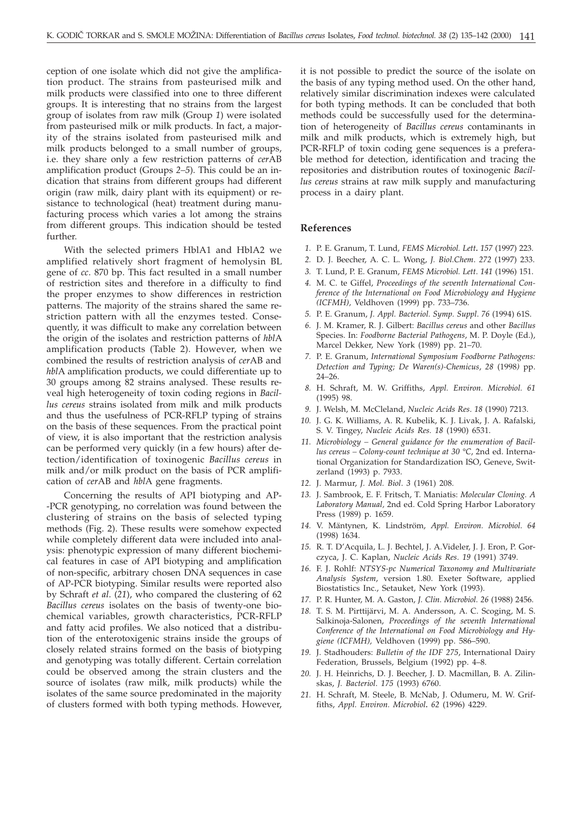ception of one isolate which did not give the amplification product. The strains from pasteurised milk and milk products were classified into one to three different groups. It is interesting that no strains from the largest group of isolates from raw milk (Group *1*) were isolated from pasteurised milk or milk products. In fact, a majority of the strains isolated from pasteurised milk and milk products belonged to a small number of groups, i.e. they share only a few restriction patterns of *cer*AB amplification product (Groups *2–5*). This could be an indication that strains from different groups had different origin (raw milk, dairy plant with its equipment) or resistance to technological (heat) treatment during manufacturing process which varies a lot among the strains from different groups. This indication should be tested further.

With the selected primers HblA1 and HblA2 we amplified relatively short fragment of hemolysin BL gene of *cc*. 870 bp. This fact resulted in a small number of restriction sites and therefore in a difficulty to find the proper enzymes to show differences in restriction patterns. The majority of the strains shared the same restriction pattern with all the enzymes tested. Consequently, it was difficult to make any correlation between the origin of the isolates and restriction patterns of *hbl*A amplification products (Table 2). However, when we combined the results of restriction analysis of *cer*AB and *hbl*A amplification products, we could differentiate up to 30 groups among 82 strains analysed. These results reveal high heterogeneity of toxin coding regions in *Bacillus cereus* strains isolated from milk and milk products and thus the usefulness of PCR-RFLP typing of strains on the basis of these sequences. From the practical point of view, it is also important that the restriction analysis can be performed very quickly (in a few hours) after detection/identification of toxinogenic *Bacillus cereus* in milk and/or milk product on the basis of PCR amplification of *cer*AB and *hbl*A gene fragments.

Concerning the results of API biotyping and AP- -PCR genotyping, no correlation was found between the clustering of strains on the basis of selected typing methods (Fig. 2). These results were somehow expected while completely different data were included into analysis: phenotypic expression of many different biochemical features in case of API biotyping and amplification of non-specific, arbitrary chosen DNA sequences in case of AP-PCR biotyping. Similar results were reported also by Schraft *et al*. (*21*), who compared the clustering of 62 *Bacillus cereus* isolates on the basis of twenty-one biochemical variables, growth characteristics, PCR-RFLP and fatty acid profiles. We also noticed that a distribution of the enterotoxigenic strains inside the groups of closely related strains formed on the basis of biotyping and genotyping was totally different. Certain correlation could be observed among the strain clusters and the source of isolates (raw milk, milk products) while the isolates of the same source predominated in the majority of clusters formed with both typing methods. However,

it is not possible to predict the source of the isolate on the basis of any typing method used. On the other hand, relatively similar discrimination indexes were calculated for both typing methods. It can be concluded that both methods could be successfully used for the determination of heterogeneity of *Bacillus cereus* contaminants in milk and milk products, which is extremely high, but PCR-RFLP of toxin coding gene sequences is a preferable method for detection, identification and tracing the repositories and distribution routes of toxinogenic *Bacillus cereus* strains at raw milk supply and manufacturing process in a dairy plant.

#### **References**

- *1.* P. E. Granum, T. Lund*, FEMS Microbiol. Lett. 157* (1997) 223.
- *2.* D. J. Beecher, A. C. L. Wong, *J. Biol.Chem*. *272* (1997) 233.
- *3.* T. Lund, P. E. Granum, *FEMS Microbiol. Lett*. *141* (1996) 151.
- *4.* M. C. te Giffel, *Proceedings of the seventh International Conference of the International on Food Microbiology and Hygiene (ICFMH),* Veldhoven (1999) pp. 733–736.
- *5.* P. E. Granum, *J. Appl. Bacteriol. Symp. Suppl*. *76* (1994) 61S.
- *6.* J. M. Kramer, R. J. Gilbert: *Bacillus cereus* and other *Bacillus* Species. In: *Foodborne Bacterial Pathogens*, M. P. Doyle (Ed.), Marcel Dekker, New York (1989) pp. 21–70.
- *7.* P. E. Granum, *International Symposium Foodborne Pathogens: Detection and Typing; De Waren(s)-Chemicus*, *28* (1998*)* pp. 24–26.
- *8.* H. Schraft, M. W. Griffiths, *Appl. Environ. Microbiol. 61* (1995) 98.
- *9.* J. Welsh, M. McCleland, *Nucleic Acids Res*. *18* (1990) 7213.
- *10.* J. G. K. Williams, A. R. Kubelik, K. J. Livak, J. A. Rafalski, S. V. Tingey, *Nucleic Acids Res. 18* (1990) 6531.
- *11. Microbiology General guidance for the enumeration of Bacillus cereus – Colony-count technique at 30 °C*, 2nd ed. International Organization for Standardization ISO, Geneve, Switzerland (1993) p. 7933.
- *12.* J. Marmur, *J. Mol. Biol*. *3* (1961) 208.
- *13.* J. Sambrook, E. F. Fritsch, T. Maniatis: *Molecular Cloning. A Laboratory Manual,* 2nd ed. Cold Spring Harbor Laboratory Press (1989) p. 1659.
- *14.* V. Mäntynen, K. Lindström, *Appl. Environ. Microbiol*. *64* (1998) 1634.
- *15.* R. T. D'Acquila, L. J. Bechtel, J. A.Videler, J. J. Eron, P. Gorczyca, J. C. Kaplan, *Nucleic Acids Res*. *19* (1991) 3749.
- *16.* F. J. Rohlf: *NTSYS-pc Numerical Taxonomy and Multivariate Analysis System*, version 1.80. Exeter Software, applied Biostatistics Inc., Setauket, New York (1993).
- *17.* P. R. Hunter, M. A. Gaston, *J. Clin. Microbiol. 26* (1988) 2456.
- *18.* T. S. M. Pirttijärvi, M. A. Andersson, A. C. Scoging, M. S. Salkinoja-Salonen, *Proceedings of the seventh International Conference of the International on Food Microbiology and Hygiene (ICFMH),* Veldhoven (1999) pp. 586–590.
- *19.* J. Stadhouders: *Bulletin of the IDF 275*, International Dairy Federation, Brussels, Belgium (1992) pp. 4–8.
- *20.* J. H. Heinrichs, D. J. Beecher, J. D. Macmillan, B. A. Zilinskas, *J. Bacteriol*. *175* (1993) 6760.
- *21.* H. Schraft, M. Steele, B. McNab, J. Odumeru, M. W. Griffiths, *Appl. Environ. Microbiol. 62* (1996) 4229.